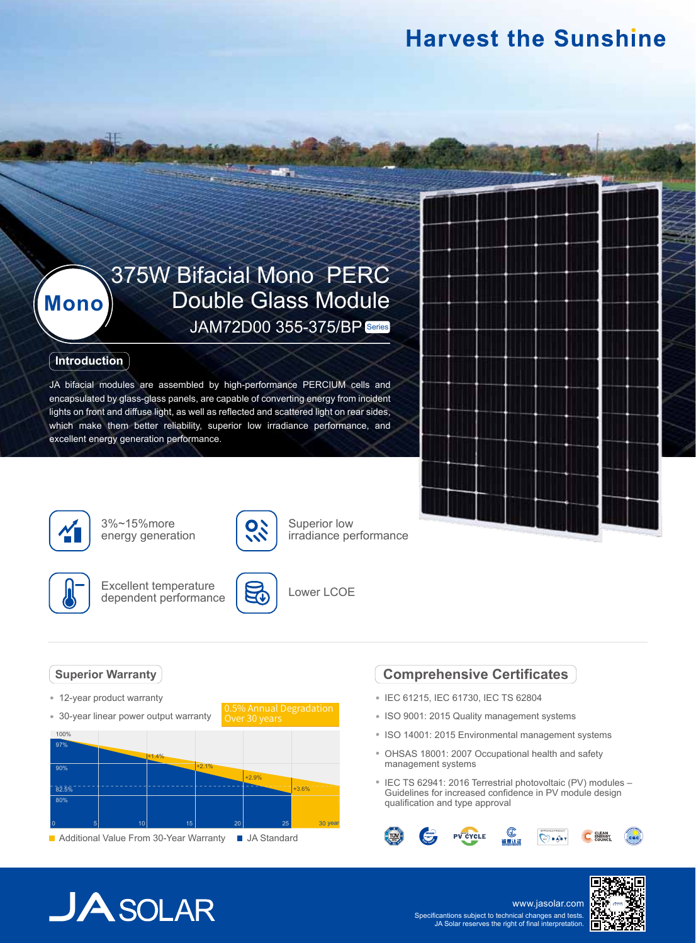# **Harvest the Sunshine**

# 375W Bifacial Mono PERC Double Glass Module JAM72D00 355-375/BP Series

#### **Introduction**

**Mono**

JA bifacial modules are assembled by high-performance PERCIUM cells and encapsulated by glass-glass panels, are capable of converting energy from incident lights on front and diffuse light, as well as reflected and scattered light on rear sides, which make them better reliability, superior low irradiance performance, and excellent energy generation performance.



3%~15%more energy generation



Excellent temperature dependent performance



8



Superior low

irradiance performance

### **Superior Warranty**

- 12-year product warranty
- 30-year linear power output warranty



### **Comprehensive Certificates**

- IEC 61215, IEC 61730, IEC TS 62804
- ISO 9001: 2015 Quality management systems
- ISO 14001: 2015 Environmental management systems
- OHSAS 18001: 2007 Occupational health and safety management systems
- IEC TS 62941: 2016 Terrestrial photovoltaic (PV) modules -Guidelines for increased confidence in PV module design qualification and type approval



# $JASOLAR$

www.jasolar.com Specificantions subject to technical changes and tests. JA Solar reserves the right of final interpretation.